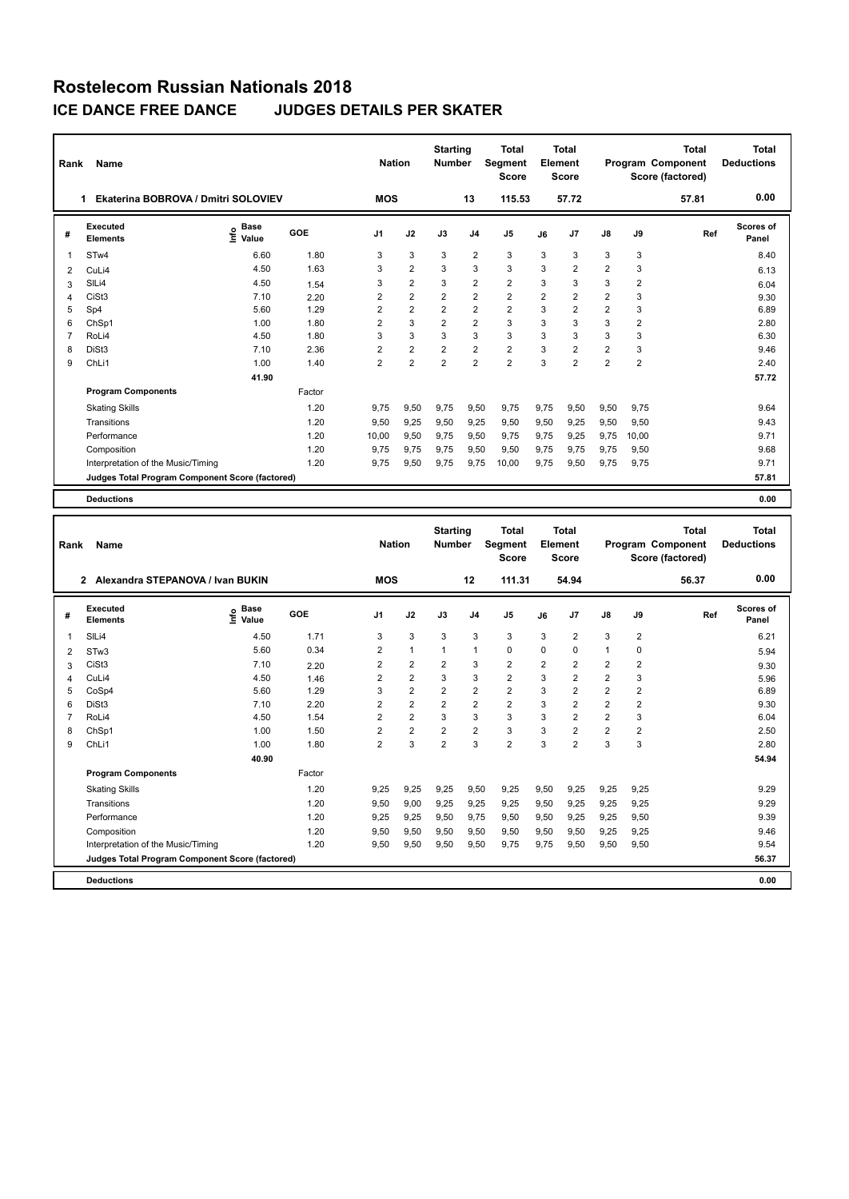| Rank | Name                                            |                              |        | <b>Nation</b>  |                | <b>Starting</b><br><b>Number</b> |                | <b>Total</b><br><b>Segment</b><br><b>Score</b> |                | <b>Total</b><br>Element<br><b>Score</b> |                |                | <b>Total</b><br>Program Component<br>Score (factored) | Total<br><b>Deductions</b> |
|------|-------------------------------------------------|------------------------------|--------|----------------|----------------|----------------------------------|----------------|------------------------------------------------|----------------|-----------------------------------------|----------------|----------------|-------------------------------------------------------|----------------------------|
|      | Ekaterina BOBROVA / Dmitri SOLOVIEV<br>1        |                              |        | <b>MOS</b>     |                |                                  | 13             | 115.53                                         |                | 57.72                                   |                |                | 57.81                                                 | 0.00                       |
| #    | Executed<br><b>Elements</b>                     | <b>Base</b><br>lnfo<br>Value | GOE    | J <sub>1</sub> | J2             | J3                               | J <sub>4</sub> | J5                                             | J6             | J7                                      | $\mathsf{J}8$  | J9             | Ref                                                   | Scores of<br>Panel         |
| 1    | ST <sub>w</sub> 4                               | 6.60                         | 1.80   | 3              | 3              | 3                                | $\overline{2}$ | 3                                              | 3              | 3                                       | 3              | 3              |                                                       | 8.40                       |
| 2    | CuLi4                                           | 4.50                         | 1.63   | 3              | $\overline{2}$ | 3                                | 3              | 3                                              | 3              | $\overline{2}$                          | $\overline{2}$ | 3              |                                                       | 6.13                       |
| 3    | SILi4                                           | 4.50                         | 1.54   | 3              | $\overline{2}$ | 3                                | 2              | $\overline{2}$                                 | 3              | 3                                       | 3              | $\overline{2}$ |                                                       | 6.04                       |
| 4    | CiSt <sub>3</sub>                               | 7.10                         | 2.20   | $\overline{2}$ | $\overline{2}$ | $\overline{2}$                   | $\overline{2}$ | 2                                              | $\overline{2}$ | $\overline{2}$                          | $\overline{2}$ | 3              |                                                       | 9.30                       |
| 5    | Sp4                                             | 5.60                         | 1.29   | $\overline{2}$ | $\overline{2}$ | $\overline{2}$                   | $\overline{2}$ | $\overline{2}$                                 | 3              | $\overline{2}$                          | $\overline{2}$ | 3              |                                                       | 6.89                       |
| 6    | ChSp1                                           | 1.00                         | 1.80   | $\overline{2}$ | 3              | $\overline{2}$                   | $\overline{2}$ | 3                                              | 3              | 3                                       | 3              | $\overline{2}$ |                                                       | 2.80                       |
|      | RoLi4                                           | 4.50                         | 1.80   | 3              | 3              | 3                                | 3              | 3                                              | 3              | 3                                       | 3              | 3              |                                                       | 6.30                       |
| 8    | DiSt <sub>3</sub>                               | 7.10                         | 2.36   | $\overline{2}$ | $\overline{2}$ | $\overline{2}$                   | $\overline{2}$ | $\overline{2}$                                 | 3              | $\overline{2}$                          | $\overline{2}$ | 3              |                                                       | 9.46                       |
| 9    | ChLi1                                           | 1.00                         | 1.40   | $\overline{2}$ | $\overline{2}$ | $\overline{2}$                   | $\overline{2}$ | $\overline{2}$                                 | 3              | $\overline{2}$                          | $\overline{2}$ | $\overline{2}$ |                                                       | 2.40                       |
|      |                                                 | 41.90                        |        |                |                |                                  |                |                                                |                |                                         |                |                |                                                       | 57.72                      |
|      | <b>Program Components</b>                       |                              | Factor |                |                |                                  |                |                                                |                |                                         |                |                |                                                       |                            |
|      | <b>Skating Skills</b>                           |                              | 1.20   | 9.75           | 9,50           | 9.75                             | 9,50           | 9,75                                           | 9,75           | 9,50                                    | 9,50           | 9.75           |                                                       | 9.64                       |
|      | Transitions                                     |                              | 1.20   | 9,50           | 9,25           | 9,50                             | 9,25           | 9,50                                           | 9,50           | 9,25                                    | 9,50           | 9,50           |                                                       | 9.43                       |
|      | Performance                                     |                              | 1.20   | 10.00          | 9,50           | 9.75                             | 9,50           | 9,75                                           | 9,75           | 9.25                                    | 9,75           | 10.00          |                                                       | 9.71                       |
|      | Composition                                     |                              | 1.20   | 9.75           | 9.75           | 9,75                             | 9,50           | 9,50                                           | 9.75           | 9.75                                    | 9.75           | 9,50           |                                                       | 9.68                       |
|      | Interpretation of the Music/Timing              |                              | 1.20   | 9.75           | 9,50           | 9.75                             | 9,75           | 10,00                                          | 9.75           | 9,50                                    | 9,75           | 9,75           |                                                       | 9.71                       |
|      | Judges Total Program Component Score (factored) |                              |        |                |                |                                  |                |                                                |                |                                         |                |                |                                                       | 57.81                      |
|      | <b>Deductions</b>                               |                              |        |                |                |                                  |                |                                                |                |                                         |                |                |                                                       | 0.00                       |
|      |                                                 |                              |        |                |                |                                  |                |                                                |                |                                         |                |                |                                                       |                            |

| Rank           | Name                                             |                              |        | <b>Nation</b>  |                | <b>Starting</b><br><b>Number</b> |                | <b>Total</b><br>Segment<br><b>Score</b> |                | <b>Total</b><br>Element<br><b>Score</b> |                |                | <b>Total</b><br>Program Component<br>Score (factored) | <b>Total</b><br><b>Deductions</b> |
|----------------|--------------------------------------------------|------------------------------|--------|----------------|----------------|----------------------------------|----------------|-----------------------------------------|----------------|-----------------------------------------|----------------|----------------|-------------------------------------------------------|-----------------------------------|
|                | Alexandra STEPANOVA / Ivan BUKIN<br>$\mathbf{2}$ |                              |        | <b>MOS</b>     |                |                                  | 12             | 111.31                                  |                | 54.94                                   |                |                | 56.37                                                 | 0.00                              |
| #              | Executed<br><b>Elements</b>                      | <b>Base</b><br>١nfo<br>Value | GOE    | J <sub>1</sub> | J2             | J3                               | J <sub>4</sub> | J <sub>5</sub>                          | J6             | J7                                      | $\mathsf{J}8$  | J9             | Ref                                                   | <b>Scores of</b><br>Panel         |
| 1              | SILi4                                            | 4.50                         | 1.71   | 3              | 3              | 3                                | 3              | 3                                       | 3              | $\overline{2}$                          | 3              | $\overline{2}$ |                                                       | 6.21                              |
| 2              | STw <sub>3</sub>                                 | 5.60                         | 0.34   | 2              | $\mathbf{1}$   | 1                                | $\mathbf{1}$   | $\mathbf 0$                             | $\Omega$       | 0                                       | $\mathbf{1}$   | 0              |                                                       | 5.94                              |
| 3              | CiSt <sub>3</sub>                                | 7.10                         | 2.20   | $\overline{2}$ | $\overline{2}$ | $\overline{2}$                   | 3              | $\overline{2}$                          | $\overline{2}$ | $\overline{2}$                          | $\overline{2}$ | $\overline{2}$ |                                                       | 9.30                              |
| 4              | CuLi4                                            | 4.50                         | 1.46   | 2              | $\overline{2}$ | 3                                | 3              | $\overline{2}$                          | 3              | $\overline{2}$                          | $\overline{2}$ | 3              |                                                       | 5.96                              |
| 5              | CoSp4                                            | 5.60                         | 1.29   | 3              | $\overline{2}$ | $\overline{2}$                   | $\overline{2}$ | $\overline{2}$                          | 3              | $\overline{2}$                          | $\overline{2}$ | $\overline{2}$ |                                                       | 6.89                              |
| 6              | DiSt <sub>3</sub>                                | 7.10                         | 2.20   | $\overline{2}$ | $\overline{2}$ | $\overline{2}$                   | $\overline{2}$ | $\overline{2}$                          | 3              | $\overline{2}$                          | $\overline{2}$ | $\overline{2}$ |                                                       | 9.30                              |
| $\overline{7}$ | RoLi4                                            | 4.50                         | 1.54   | $\overline{2}$ | $\overline{2}$ | 3                                | 3              | 3                                       | 3              | $\overline{2}$                          | $\overline{2}$ | 3              |                                                       | 6.04                              |
| 8              | ChSp1                                            | 1.00                         | 1.50   | $\overline{2}$ | $\overline{2}$ | $\overline{2}$                   | $\overline{2}$ | 3                                       | 3              | $\overline{2}$                          | $\overline{2}$ | $\overline{2}$ |                                                       | 2.50                              |
| 9              | ChL <sub>i1</sub>                                | 1.00                         | 1.80   | $\overline{2}$ | 3              | $\overline{2}$                   | 3              | $\overline{2}$                          | 3              | $\overline{2}$                          | 3              | 3              |                                                       | 2.80                              |
|                |                                                  | 40.90                        |        |                |                |                                  |                |                                         |                |                                         |                |                |                                                       | 54.94                             |
|                | <b>Program Components</b>                        |                              | Factor |                |                |                                  |                |                                         |                |                                         |                |                |                                                       |                                   |
|                | <b>Skating Skills</b>                            |                              | 1.20   | 9,25           | 9,25           | 9,25                             | 9,50           | 9,25                                    | 9,50           | 9,25                                    | 9,25           | 9,25           |                                                       | 9.29                              |
|                | Transitions                                      |                              | 1.20   | 9,50           | 9,00           | 9,25                             | 9,25           | 9,25                                    | 9,50           | 9,25                                    | 9,25           | 9,25           |                                                       | 9.29                              |
|                | Performance                                      |                              | 1.20   | 9,25           | 9,25           | 9,50                             | 9,75           | 9,50                                    | 9,50           | 9,25                                    | 9,25           | 9,50           |                                                       | 9.39                              |
|                | Composition                                      |                              | 1.20   | 9,50           | 9,50           | 9,50                             | 9,50           | 9,50                                    | 9,50           | 9,50                                    | 9,25           | 9,25           |                                                       | 9.46                              |
|                | Interpretation of the Music/Timing               |                              | 1.20   | 9,50           | 9,50           | 9,50                             | 9,50           | 9,75                                    | 9.75           | 9,50                                    | 9,50           | 9,50           |                                                       | 9.54                              |
|                | Judges Total Program Component Score (factored)  |                              |        |                |                |                                  |                |                                         |                |                                         |                |                |                                                       | 56.37                             |
|                | <b>Deductions</b>                                |                              |        |                |                |                                  |                |                                         |                |                                         |                |                |                                                       | 0.00                              |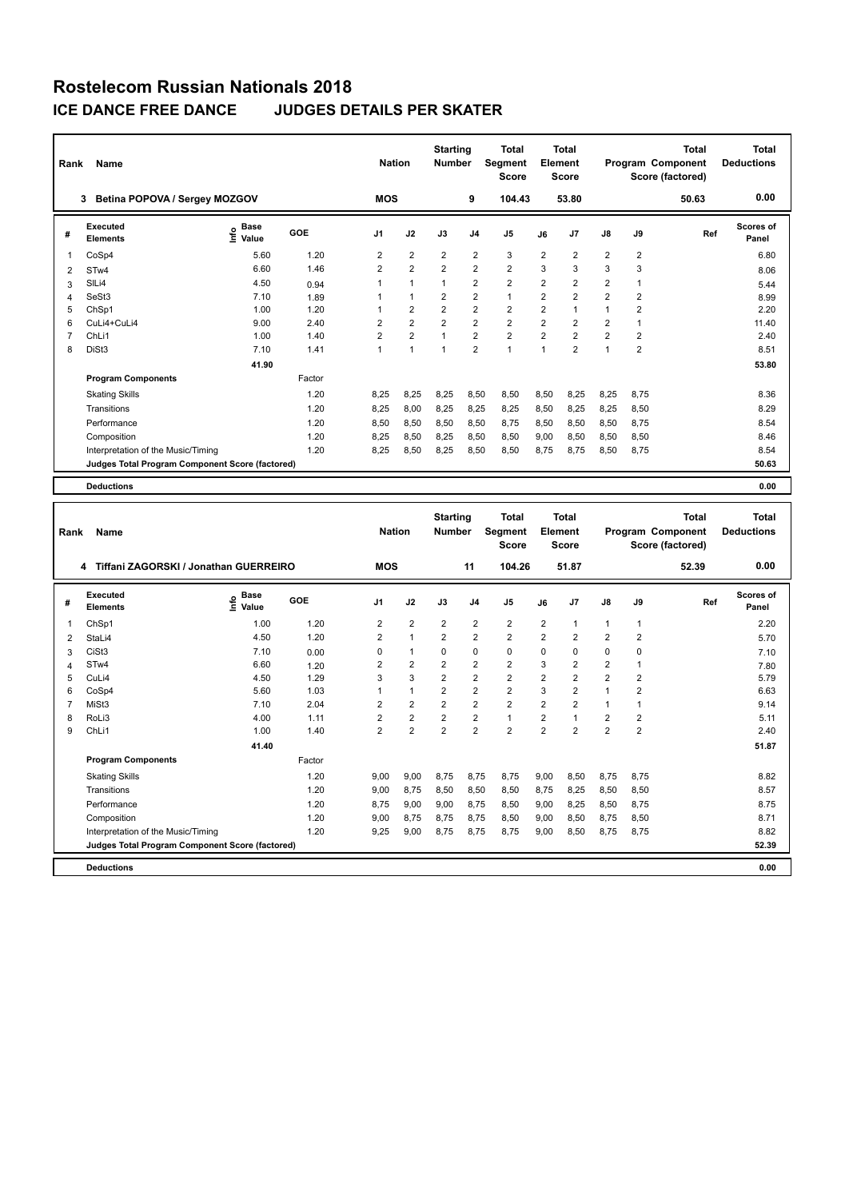| Rank           | Name                                            |                            |            |                | <b>Nation</b>  | <b>Starting</b><br><b>Number</b> |                | <b>Total</b><br>Segment<br><b>Score</b>        |                | <b>Total</b><br>Element<br><b>Score</b> |                |                | <b>Total</b><br>Program Component<br>Score (factored) | <b>Total</b><br><b>Deductions</b> |
|----------------|-------------------------------------------------|----------------------------|------------|----------------|----------------|----------------------------------|----------------|------------------------------------------------|----------------|-----------------------------------------|----------------|----------------|-------------------------------------------------------|-----------------------------------|
|                | 3 Betina POPOVA / Sergey MOZGOV                 |                            |            | <b>MOS</b>     |                |                                  | 9              | 104.43                                         |                | 53.80                                   |                |                | 50.63                                                 | 0.00                              |
| #              | <b>Executed</b><br><b>Elements</b>              | <b>Base</b><br>۴è<br>Value | GOE        | J <sub>1</sub> | J2             | J3                               | J <sub>4</sub> | J5                                             | J6             | J7                                      | J8             | J9             | Ref                                                   | <b>Scores of</b><br>Panel         |
| 1              | CoSp4                                           | 5.60                       | 1.20       | $\overline{2}$ | $\overline{2}$ | $\overline{2}$                   | $\overline{2}$ | 3                                              | $\overline{2}$ | $\overline{\mathbf{c}}$                 | $\overline{2}$ | $\overline{2}$ |                                                       | 6.80                              |
| 2              | STw4                                            | 6.60                       | 1.46       | $\overline{2}$ | $\overline{2}$ | $\overline{2}$                   | $\overline{2}$ | $\overline{2}$                                 | 3              | 3                                       | 3              | 3              |                                                       | 8.06                              |
| 3              | SILi4                                           | 4.50                       | 0.94       | 1              | $\mathbf{1}$   | 1                                | $\overline{2}$ | $\overline{2}$                                 | 2              | 2                                       | 2              | $\mathbf{1}$   |                                                       | 5.44                              |
| $\overline{4}$ | SeSt3                                           | 7.10                       | 1.89       | 1              | $\mathbf{1}$   | 2                                | $\overline{2}$ | $\mathbf{1}$                                   | $\overline{2}$ | $\overline{2}$                          | $\overline{c}$ | $\overline{2}$ |                                                       | 8.99                              |
| 5              | ChSp1                                           | 1.00                       | 1.20       | 1              | $\overline{2}$ | $\overline{2}$                   | $\overline{2}$ | $\overline{2}$                                 | $\overline{2}$ | $\mathbf{1}$                            | $\mathbf{1}$   | $\overline{2}$ |                                                       | 2.20                              |
| 6              | CuLi4+CuLi4                                     | 9.00                       | 2.40       | $\overline{2}$ | $\overline{2}$ | $\overline{2}$                   | $\overline{2}$ | $\overline{2}$                                 | $\overline{2}$ | $\overline{2}$                          | $\overline{c}$ | $\mathbf{1}$   |                                                       | 11.40                             |
| $\overline{7}$ | ChLi1                                           | 1.00                       | 1.40       | $\overline{2}$ | $\overline{2}$ | $\mathbf{1}$                     | $\overline{2}$ | $\overline{2}$                                 | $\overline{2}$ | $\overline{2}$                          | $\overline{2}$ | $\overline{2}$ |                                                       | 2.40                              |
| 8              | DiSt3                                           | 7.10                       | 1.41       | $\mathbf{1}$   | $\mathbf{1}$   | $\mathbf{1}$                     | $\overline{2}$ | $\mathbf{1}$                                   | $\mathbf{1}$   | $\overline{2}$                          | $\mathbf{1}$   | $\overline{2}$ |                                                       | 8.51                              |
|                |                                                 | 41.90                      |            |                |                |                                  |                |                                                |                |                                         |                |                |                                                       | 53.80                             |
|                | <b>Program Components</b>                       |                            | Factor     |                |                |                                  |                |                                                |                |                                         |                |                |                                                       |                                   |
|                | <b>Skating Skills</b>                           |                            | 1.20       | 8,25           | 8,25           | 8,25                             | 8,50           | 8,50                                           | 8,50           | 8,25                                    | 8,25           | 8,75           |                                                       | 8.36                              |
|                | Transitions                                     |                            | 1.20       | 8,25           | 8,00           | 8,25                             | 8,25           | 8,25                                           | 8,50           | 8,25                                    | 8,25           | 8,50           |                                                       | 8.29                              |
|                | Performance                                     |                            | 1.20       | 8.50           | 8,50           | 8,50                             | 8.50           | 8,75                                           | 8,50           | 8.50                                    | 8,50           | 8,75           |                                                       | 8.54                              |
|                | Composition                                     |                            | 1.20       | 8,25           | 8,50           | 8,25                             | 8,50           | 8,50                                           | 9,00           | 8,50                                    | 8,50           | 8,50           |                                                       | 8.46                              |
|                | Interpretation of the Music/Timing              |                            | 1.20       | 8,25           | 8,50           | 8,25                             | 8,50           | 8,50                                           | 8,75           | 8,75                                    | 8,50           | 8,75           |                                                       | 8.54                              |
|                | Judges Total Program Component Score (factored) |                            |            |                |                |                                  |                |                                                |                |                                         |                |                |                                                       | 50.63                             |
|                |                                                 |                            |            |                |                |                                  |                |                                                |                |                                         |                |                |                                                       |                                   |
|                | <b>Deductions</b>                               |                            |            |                |                |                                  |                |                                                |                |                                         |                |                |                                                       | 0.00                              |
| Rank           | Name                                            |                            |            |                | <b>Nation</b>  | <b>Starting</b><br><b>Number</b> |                | <b>Total</b><br><b>Segment</b><br><b>Score</b> |                | <b>Total</b><br>Element<br><b>Score</b> |                |                | <b>Total</b><br>Program Component<br>Score (factored) | <b>Total</b><br><b>Deductions</b> |
|                | 4 Tiffani ZAGORSKI / Jonathan GUERREIRO         |                            |            | <b>MOS</b>     |                |                                  | 11             | 104.26                                         |                | 51.87                                   |                |                | 52.39                                                 | 0.00                              |
| #              | <b>Executed</b><br><b>Elements</b>              | <b>Base</b><br>۴ò<br>Value | <b>GOE</b> | J1             | J2             | J3                               | J4             | J5                                             | J6             | J <sub>7</sub>                          | J8             | J9             | Ref                                                   | Scores of<br>Panel                |
| 1              | ChSp1                                           | 1.00                       | 1.20       | 2              | $\overline{2}$ | $\overline{2}$                   | $\overline{2}$ | $\overline{2}$                                 | 2              | $\mathbf{1}$                            | $\mathbf{1}$   | $\mathbf{1}$   |                                                       | 2.20                              |
| 2              | StaLi4                                          | 4.50                       | 1.20       | 2              | $\mathbf{1}$   | $\overline{2}$                   | $\overline{2}$ | $\overline{2}$                                 | $\overline{2}$ | 2                                       | 2              | $\overline{2}$ |                                                       | 5.70                              |
| 3              | CiSt3                                           | 7.10                       | 0.00       | 0              | $\mathbf{1}$   | $\Omega$                         | $\Omega$       | $\theta$                                       | $\Omega$       | $\Omega$                                | 0              | 0              |                                                       | 7.10                              |
| $\overline{4}$ | STw4                                            | 6.60                       | 1.20       | $\overline{2}$ | $\overline{2}$ | $\overline{2}$                   | $\overline{2}$ | $\overline{2}$                                 | 3              | $\overline{2}$                          | $\overline{2}$ | $\mathbf{1}$   |                                                       | 7.80                              |
| 5              | CuLi4                                           | 4.50                       | 1.29       | 3              | 3              | $\overline{2}$                   | $\overline{2}$ | $\overline{2}$                                 | $\overline{2}$ | $\overline{2}$                          | $\overline{2}$ | $\overline{2}$ |                                                       | 5.79                              |
| 6              | CoSp4                                           | 5.60                       | 1.03       | 1              | $\mathbf{1}$   | $\overline{2}$                   | $\overline{2}$ | $\overline{2}$                                 | 3              | $\overline{2}$                          | $\mathbf{1}$   | $\overline{2}$ |                                                       | 6.63                              |
| $\overline{7}$ | MiSt3                                           | 7.10                       | 2.04       | $\overline{2}$ | $\overline{2}$ | $\overline{2}$                   | $\overline{2}$ | $\overline{2}$                                 | $\overline{2}$ | $\overline{2}$                          | $\mathbf{1}$   | $\mathbf{1}$   |                                                       | 9.14                              |

| 8 RoLi3                                                | 4.00  | 1.11   | 2    | 2    | 2    | 2    |      | 2    |      | 2    | 2    | 5.11  |
|--------------------------------------------------------|-------|--------|------|------|------|------|------|------|------|------|------|-------|
| 9 ChLi1                                                | 1.00  | 1.40   | 2    | 2    | 2    | 2    | 2    | 2    | 2    | 2    | 2    | 2.40  |
|                                                        | 41.40 |        |      |      |      |      |      |      |      |      |      | 51.87 |
| <b>Program Components</b>                              |       | Factor |      |      |      |      |      |      |      |      |      |       |
| <b>Skating Skills</b>                                  |       | 1.20   | 9,00 | 9,00 | 8.75 | 8.75 | 8,75 | 9,00 | 8,50 | 8,75 | 8.75 | 8.82  |
| Transitions                                            |       | 1.20   | 9,00 | 8,75 | 8,50 | 8,50 | 8,50 | 8,75 | 8,25 | 8,50 | 8,50 | 8.57  |
| Performance                                            |       | 1.20   | 8,75 | 9,00 | 9,00 | 8,75 | 8,50 | 9,00 | 8,25 | 8,50 | 8.75 | 8.75  |
| Composition                                            |       | 1.20   | 9.00 | 8,75 | 8.75 | 8.75 | 8,50 | 9,00 | 8,50 | 8,75 | 8,50 | 8.71  |
| Interpretation of the Music/Timing                     |       | 1.20   | 9,25 | 9,00 | 8.75 | 8.75 | 8,75 | 9,00 | 8,50 | 8,75 | 8,75 | 8.82  |
| <b>Judges Total Program Component Score (factored)</b> |       |        |      |      |      |      |      |      |      |      |      | 52.39 |
|                                                        |       |        |      |      |      |      |      |      |      |      |      |       |

**Deductions 0.00**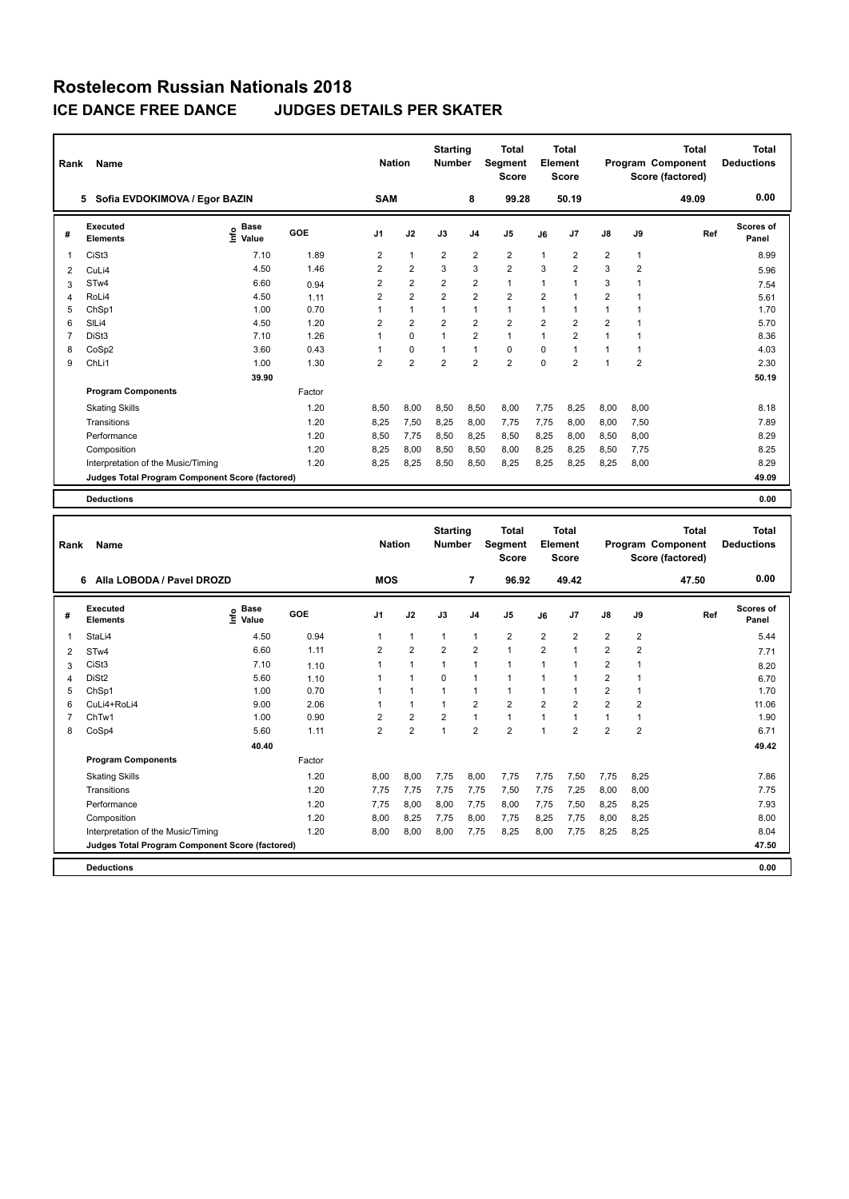| Rank           | Name                                            |                              |        | <b>Nation</b>  |                | <b>Starting</b><br><b>Number</b> |                | <b>Total</b><br><b>Segment</b><br><b>Score</b> |                | Total<br>Element<br>Score |                      |                | <b>Total</b><br>Program Component<br>Score (factored) | <b>Total</b><br><b>Deductions</b> |
|----------------|-------------------------------------------------|------------------------------|--------|----------------|----------------|----------------------------------|----------------|------------------------------------------------|----------------|---------------------------|----------------------|----------------|-------------------------------------------------------|-----------------------------------|
|                | Sofia EVDOKIMOVA / Egor BAZIN<br>5.             |                              |        | <b>SAM</b>     |                |                                  | 8              | 99.28                                          |                | 50.19                     |                      |                | 49.09                                                 | 0.00                              |
| #              | Executed<br><b>Elements</b>                     | <b>Base</b><br>lnfo<br>Value | GOE    | J <sub>1</sub> | J2             | J3                               | J <sub>4</sub> | J <sub>5</sub>                                 | J6             | J7                        | $\mathsf{J}8$        | J9             | Ref                                                   | <b>Scores of</b><br>Panel         |
| $\overline{1}$ | CiSt <sub>3</sub>                               | 7.10                         | 1.89   | $\overline{2}$ | $\mathbf{1}$   | $\overline{2}$                   | $\overline{2}$ | $\overline{2}$                                 | $\mathbf{1}$   | $\overline{2}$            | $\overline{2}$       | $\mathbf{1}$   |                                                       | 8.99                              |
| $\overline{2}$ | CuLi4                                           | 4.50                         | 1.46   | $\overline{2}$ | $\overline{2}$ | 3                                | 3              | $\overline{2}$                                 | 3              | $\overline{2}$            | 3                    | $\overline{2}$ |                                                       | 5.96                              |
| 3              | ST <sub>w</sub> 4                               | 6.60                         | 0.94   | 2              | $\overline{2}$ | $\overline{2}$                   | $\overline{2}$ | $\mathbf{1}$                                   | $\mathbf{1}$   | 1                         | 3                    | 1              |                                                       | 7.54                              |
| $\overline{4}$ | RoLi4                                           | 4.50                         | 1.11   | $\overline{2}$ | $\overline{2}$ | $\overline{2}$                   | $\overline{2}$ | $\overline{2}$                                 | $\overline{2}$ | $\overline{1}$            | $\overline{2}$       | $\overline{1}$ |                                                       | 5.61                              |
| 5              | ChSp1                                           | 1.00                         | 0.70   | 1              | $\mathbf{1}$   | 1                                | $\mathbf{1}$   | $\mathbf{1}$                                   | 1              | 1                         | $\mathbf{1}$         |                |                                                       | 1.70                              |
| 6              | SILi4                                           | 4.50                         | 1.20   | $\overline{2}$ | $\overline{2}$ | $\overline{2}$                   | $\overline{2}$ | $\overline{2}$                                 | $\overline{2}$ | $\overline{2}$            | $\overline{2}$       |                |                                                       | 5.70                              |
| 7              | DiSt3                                           | 7.10                         | 1.26   | 1              | $\Omega$       | $\overline{1}$                   | $\overline{2}$ | $\mathbf{1}$                                   | $\overline{1}$ | $\overline{2}$            | $\blacktriangleleft$ | 1              |                                                       | 8.36                              |
| 8              | CoSp2                                           | 3.60                         | 0.43   |                | $\mathbf 0$    | 1                                | $\mathbf{1}$   | $\mathbf 0$                                    | $\mathbf 0$    | 1                         | $\overline{1}$       | $\mathbf{1}$   |                                                       | 4.03                              |
| 9              | ChLi1                                           | 1.00                         | 1.30   | $\overline{2}$ | $\overline{2}$ | $\overline{2}$                   | $\overline{2}$ | $\overline{2}$                                 | $\Omega$       | $\overline{2}$            | $\overline{1}$       | $\overline{2}$ |                                                       | 2.30                              |
|                |                                                 | 39.90                        |        |                |                |                                  |                |                                                |                |                           |                      |                |                                                       | 50.19                             |
|                | <b>Program Components</b>                       |                              | Factor |                |                |                                  |                |                                                |                |                           |                      |                |                                                       |                                   |
|                | <b>Skating Skills</b>                           |                              | 1.20   | 8,50           | 8,00           | 8,50                             | 8,50           | 8,00                                           | 7,75           | 8,25                      | 8,00                 | 8,00           |                                                       | 8.18                              |
|                | Transitions                                     |                              | 1.20   | 8,25           | 7,50           | 8,25                             | 8,00           | 7,75                                           | 7,75           | 8,00                      | 8,00                 | 7,50           |                                                       | 7.89                              |
|                | Performance                                     |                              | 1.20   | 8.50           | 7.75           | 8,50                             | 8,25           | 8,50                                           | 8,25           | 8.00                      | 8,50                 | 8,00           |                                                       | 8.29                              |
|                | Composition                                     |                              | 1.20   | 8.25           | 8,00           | 8,50                             | 8,50           | 8,00                                           | 8,25           | 8,25                      | 8,50                 | 7,75           |                                                       | 8.25                              |
|                | Interpretation of the Music/Timing              |                              | 1.20   | 8.25           | 8.25           | 8.50                             | 8.50           | 8,25                                           | 8.25           | 8.25                      | 8,25                 | 8.00           |                                                       | 8.29                              |
|                | Judges Total Program Component Score (factored) |                              |        |                |                |                                  |                |                                                |                |                           |                      |                |                                                       | 49.09                             |
|                | <b>Deductions</b>                               |                              |        |                |                |                                  |                |                                                |                |                           |                      |                |                                                       | 0.00                              |
|                |                                                 |                              |        |                |                |                                  |                |                                                |                |                           |                      |                |                                                       |                                   |

| Rank           | Name                                            |                                  |        | <b>Nation</b>  |                | <b>Starting</b><br><b>Number</b> |                | <b>Total</b><br>Segment<br><b>Score</b> |                | <b>Total</b><br>Element<br><b>Score</b> |                |                | <b>Total</b><br>Program Component<br>Score (factored) | <b>Total</b><br><b>Deductions</b> |
|----------------|-------------------------------------------------|----------------------------------|--------|----------------|----------------|----------------------------------|----------------|-----------------------------------------|----------------|-----------------------------------------|----------------|----------------|-------------------------------------------------------|-----------------------------------|
|                | Alla LOBODA / Pavel DROZD<br>6                  |                                  |        | <b>MOS</b>     |                |                                  | 7              | 96.92                                   |                | 49.42                                   |                |                | 47.50                                                 | 0.00                              |
| #              | Executed<br><b>Elements</b>                     | <b>Base</b><br>o Base<br>⊆ Value | GOE    | J <sub>1</sub> | J2             | J3                               | J <sub>4</sub> | J <sub>5</sub>                          | J6             | J7                                      | J8             | J9             | Ref                                                   | <b>Scores of</b><br>Panel         |
| 1              | StaLi4                                          | 4.50                             | 0.94   | 1              | $\mathbf{1}$   | $\overline{1}$                   | $\overline{1}$ | $\overline{2}$                          | $\overline{2}$ | $\overline{2}$                          | $\overline{2}$ | $\overline{2}$ |                                                       | 5.44                              |
| 2              | ST <sub>w</sub> 4                               | 6.60                             | 1.11   | $\overline{2}$ | 2              | $\overline{2}$                   | $\overline{2}$ | $\mathbf{1}$                            | $\overline{2}$ |                                         | $\overline{2}$ | $\overline{2}$ |                                                       | 7.71                              |
| 3              | CiSt3                                           | 7.10                             | 1.10   | 1              | $\overline{1}$ | $\overline{1}$                   | $\overline{1}$ | $\mathbf{1}$                            | $\mathbf{1}$   |                                         | $\overline{2}$ | 1              |                                                       | 8.20                              |
| $\overline{4}$ | DiSt <sub>2</sub>                               | 5.60                             | 1.10   |                | $\overline{1}$ | 0                                | 1              |                                         | $\mathbf{1}$   |                                         | $\overline{2}$ |                |                                                       | 6.70                              |
| 5              | ChSp1                                           | 1.00                             | 0.70   | 1              | $\overline{1}$ | 1                                | $\overline{1}$ | $\mathbf{1}$                            | $\mathbf{1}$   |                                         | $\overline{2}$ |                |                                                       | 1.70                              |
| 6              | CuLi4+RoLi4                                     | 9.00                             | 2.06   | 1              | 1              | 1                                | $\overline{2}$ | $\overline{2}$                          | $\overline{2}$ | 2                                       | $\overline{2}$ | $\overline{2}$ |                                                       | 11.06                             |
| 7              | ChTw1                                           | 1.00                             | 0.90   | $\overline{2}$ | $\overline{2}$ | $\overline{2}$                   | 1              | $\mathbf{1}$                            | $\overline{1}$ |                                         | $\mathbf{1}$   |                |                                                       | 1.90                              |
| 8              | CoSp4                                           | 5.60                             | 1.11   | $\overline{2}$ | $\overline{2}$ | $\overline{1}$                   | $\overline{2}$ | 2                                       | $\mathbf{1}$   | $\overline{2}$                          | $\overline{2}$ | $\overline{2}$ |                                                       | 6.71                              |
|                |                                                 | 40.40                            |        |                |                |                                  |                |                                         |                |                                         |                |                |                                                       | 49.42                             |
|                | <b>Program Components</b>                       |                                  | Factor |                |                |                                  |                |                                         |                |                                         |                |                |                                                       |                                   |
|                | <b>Skating Skills</b>                           |                                  | 1.20   | 8,00           | 8,00           | 7,75                             | 8,00           | 7,75                                    | 7,75           | 7,50                                    | 7,75           | 8,25           |                                                       | 7.86                              |
|                | Transitions                                     |                                  | 1.20   | 7,75           | 7,75           | 7,75                             | 7,75           | 7,50                                    | 7,75           | 7,25                                    | 8,00           | 8,00           |                                                       | 7.75                              |
|                | Performance                                     |                                  | 1.20   | 7,75           | 8,00           | 8,00                             | 7,75           | 8,00                                    | 7,75           | 7,50                                    | 8,25           | 8,25           |                                                       | 7.93                              |
|                | Composition                                     |                                  | 1.20   | 8,00           | 8,25           | 7,75                             | 8,00           | 7,75                                    | 8,25           | 7,75                                    | 8,00           | 8,25           |                                                       | 8.00                              |
|                | Interpretation of the Music/Timing              |                                  | 1.20   | 8,00           | 8,00           | 8,00                             | 7,75           | 8,25                                    | 8,00           | 7,75                                    | 8,25           | 8,25           |                                                       | 8.04                              |
|                | Judges Total Program Component Score (factored) |                                  |        |                |                |                                  |                |                                         |                |                                         |                |                |                                                       | 47.50                             |
|                | <b>Deductions</b>                               |                                  |        |                |                |                                  |                |                                         |                |                                         |                |                |                                                       | 0.00                              |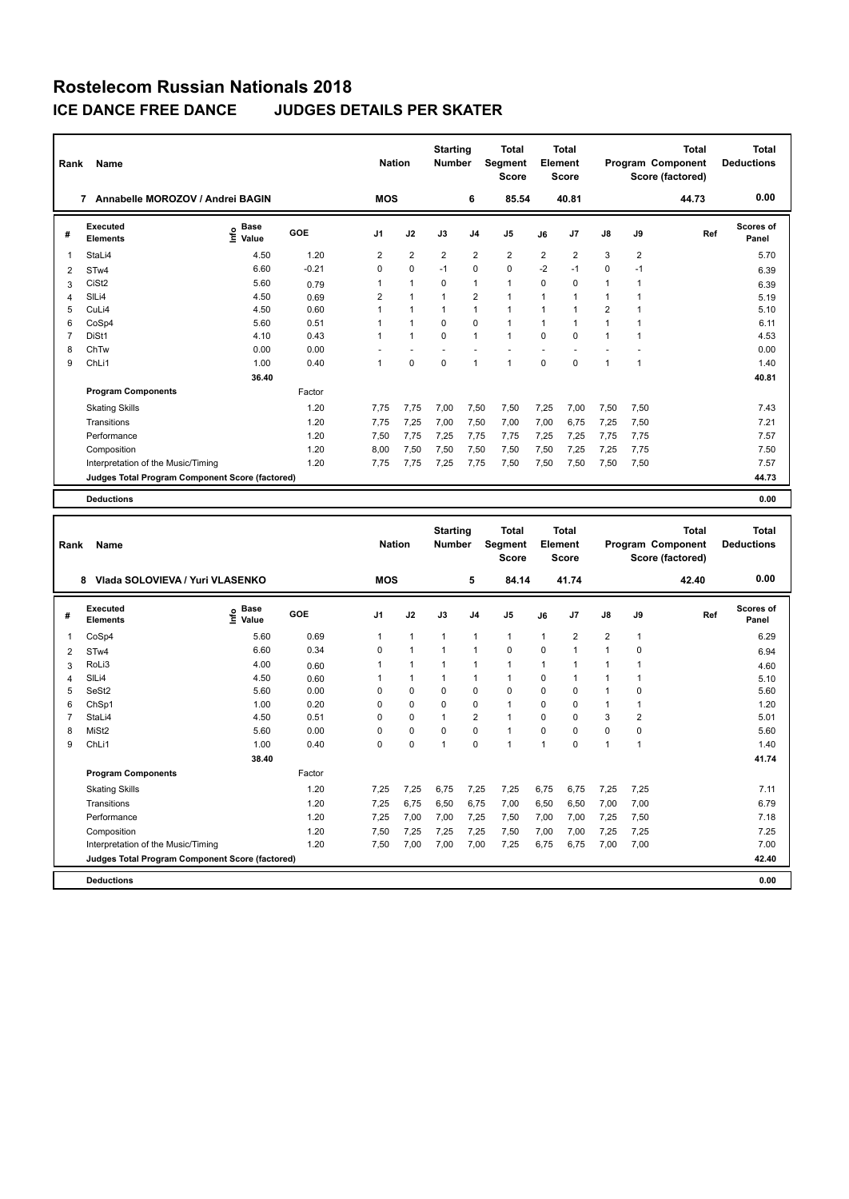| Rank           | Name                                            |                           |         | <b>Nation</b>  |                | <b>Starting</b><br><b>Number</b> |                | <b>Total</b><br><b>Segment</b><br><b>Score</b> |                | Total<br><b>Element</b><br><b>Score</b> |                      |                | <b>Total</b><br><b>Program Component</b><br>Score (factored) | <b>Total</b><br><b>Deductions</b> |
|----------------|-------------------------------------------------|---------------------------|---------|----------------|----------------|----------------------------------|----------------|------------------------------------------------|----------------|-----------------------------------------|----------------------|----------------|--------------------------------------------------------------|-----------------------------------|
|                | 7 Annabelle MOROZOV / Andrei BAGIN              |                           |         | <b>MOS</b>     |                |                                  | 6              | 85.54                                          |                | 40.81                                   |                      |                | 44.73                                                        | 0.00                              |
| #              | Executed<br><b>Elements</b>                     | <b>Base</b><br>۴<br>Value | GOE     | J <sub>1</sub> | J2             | J3                               | J <sub>4</sub> | J <sub>5</sub>                                 | J6             | J7                                      | ${\sf J8}$           | J9             | Ref                                                          | Scores of<br>Panel                |
| 1              | StaLi4                                          | 4.50                      | 1.20    | $\overline{2}$ | $\overline{2}$ | $\overline{2}$                   | $\overline{2}$ | $\overline{2}$                                 | $\overline{2}$ | $\overline{2}$                          | 3                    | $\overline{2}$ |                                                              | 5.70                              |
| 2              | ST <sub>w</sub> 4                               | 6.60                      | $-0.21$ | $\Omega$       | $\mathbf 0$    | $-1$                             | 0              | $\mathbf 0$                                    | $-2$           | $-1$                                    | 0                    | $-1$           |                                                              | 6.39                              |
| 3              | CiSt2                                           | 5.60                      | 0.79    | 1              | $\mathbf{1}$   | $\Omega$                         | $\mathbf{1}$   | $\mathbf{1}$                                   | $\Omega$       | $\Omega$                                | $\mathbf{1}$         | 1              |                                                              | 6.39                              |
| 4              | SILi4                                           | 4.50                      | 0.69    | $\overline{2}$ | $\overline{1}$ | 1                                | $\overline{2}$ | $\overline{1}$                                 | $\mathbf{1}$   |                                         | $\mathbf{1}$         |                |                                                              | 5.19                              |
| 5              | CuLi4                                           | 4.50                      | 0.60    | 1              | $\overline{1}$ | $\overline{1}$                   | $\mathbf{1}$   | $\mathbf{1}$                                   | $\mathbf{1}$   |                                         | $\overline{2}$       |                |                                                              | 5.10                              |
| 6              | CoSp4                                           | 5.60                      | 0.51    | 1              | $\mathbf{1}$   | $\Omega$                         | $\mathbf 0$    | $\mathbf{1}$                                   | $\mathbf{1}$   | 1                                       | $\mathbf{1}$         |                |                                                              | 6.11                              |
| $\overline{7}$ | DiSt1                                           | 4.10                      | 0.43    | 1              | $\overline{1}$ | $\Omega$                         | $\overline{1}$ | $\overline{1}$                                 | $\Omega$       | $\Omega$                                | $\blacktriangleleft$ |                |                                                              | 4.53                              |
| 8              | ChTw                                            | 0.00                      | 0.00    |                |                |                                  |                |                                                |                |                                         |                      |                |                                                              | 0.00                              |
| 9              | ChLi1                                           | 1.00                      | 0.40    | 1              | 0              | $\mathbf 0$                      | 1              | $\overline{1}$                                 | $\mathbf 0$    | $\Omega$                                | $\mathbf{1}$         | 1              |                                                              | 1.40                              |
|                |                                                 | 36.40                     |         |                |                |                                  |                |                                                |                |                                         |                      |                |                                                              | 40.81                             |
|                | <b>Program Components</b>                       |                           | Factor  |                |                |                                  |                |                                                |                |                                         |                      |                |                                                              |                                   |
|                | <b>Skating Skills</b>                           |                           | 1.20    | 7.75           | 7,75           | 7,00                             | 7,50           | 7,50                                           | 7,25           | 7,00                                    | 7,50                 | 7,50           |                                                              | 7.43                              |
|                | Transitions                                     |                           | 1.20    | 7.75           | 7.25           | 7.00                             | 7,50           | 7,00                                           | 7,00           | 6.75                                    | 7,25                 | 7,50           |                                                              | 7.21                              |
|                | Performance                                     |                           | 1.20    | 7,50           | 7,75           | 7,25                             | 7,75           | 7,75                                           | 7,25           | 7,25                                    | 7,75                 | 7,75           |                                                              | 7.57                              |
|                | Composition                                     |                           | 1.20    | 8,00           | 7,50           | 7,50                             | 7,50           | 7,50                                           | 7,50           | 7,25                                    | 7,25                 | 7,75           |                                                              | 7.50                              |
|                | Interpretation of the Music/Timing              |                           | 1.20    | 7.75           | 7,75           | 7,25                             | 7,75           | 7,50                                           | 7,50           | 7,50                                    | 7,50                 | 7,50           |                                                              | 7.57                              |
|                | Judges Total Program Component Score (factored) |                           |         |                |                |                                  |                |                                                |                |                                         |                      |                |                                                              | 44.73                             |
|                | <b>Deductions</b>                               |                           |         |                |                |                                  |                |                                                |                |                                         |                      |                |                                                              | 0.00                              |
|                |                                                 |                           |         |                |                | $\sim$ $\sim$                    |                |                                                |                |                                         |                      |                | - - -                                                        | - - -                             |

| Rank           | Name                                            |                              |        | <b>Nation</b>  |                | <b>Starting</b><br><b>Number</b> |                | Total<br>Segment |                | <b>Total</b><br>Element |                |              | <b>Total</b><br>Program Component | <b>Total</b><br><b>Deductions</b> |
|----------------|-------------------------------------------------|------------------------------|--------|----------------|----------------|----------------------------------|----------------|------------------|----------------|-------------------------|----------------|--------------|-----------------------------------|-----------------------------------|
|                |                                                 |                              |        |                |                |                                  |                | <b>Score</b>     |                | Score                   |                |              | Score (factored)                  |                                   |
|                | Vlada SOLOVIEVA / Yuri VLASENKO<br>8            |                              |        | <b>MOS</b>     |                |                                  | 5              | 84.14            |                | 41.74                   |                |              | 42.40                             | 0.00                              |
| #              | Executed<br><b>Elements</b>                     | <b>Base</b><br>Info<br>Value | GOE    | J <sub>1</sub> | J2             | J3                               | J <sub>4</sub> | J <sub>5</sub>   | J6             | J7                      | $\mathsf{J}8$  | J9           | Ref                               | <b>Scores of</b><br>Panel         |
| 1              | CoSp4                                           | 5.60                         | 0.69   | 1              | $\mathbf{1}$   | $\mathbf{1}$                     | $\overline{1}$ | $\mathbf{1}$     | $\mathbf{1}$   | $\overline{2}$          | $\overline{2}$ | $\mathbf{1}$ |                                   | 6.29                              |
| $\overline{2}$ | STw4                                            | 6.60                         | 0.34   | $\Omega$       | $\overline{1}$ | 1                                | -1             | $\mathbf 0$      | $\Omega$       |                         | $\mathbf{1}$   | $\Omega$     |                                   | 6.94                              |
| 3              | RoLi3                                           | 4.00                         | 0.60   | 1              | 1              | 1                                | 1              | $\mathbf{1}$     | $\mathbf{1}$   |                         | $\mathbf{1}$   | 1            |                                   | 4.60                              |
| 4              | SILi4                                           | 4.50                         | 0.60   | 1              | $\mathbf{1}$   | 1                                | $\overline{1}$ | $\mathbf{1}$     | 0              |                         | $\mathbf{1}$   | 1            |                                   | 5.10                              |
| 5              | SeSt2                                           | 5.60                         | 0.00   | $\Omega$       | $\mathbf 0$    | $\Omega$                         | $\mathbf 0$    | $\mathbf 0$      | $\Omega$       | $\Omega$                | $\mathbf{1}$   | $\Omega$     |                                   | 5.60                              |
| 6              | ChSp1                                           | 1.00                         | 0.20   | $\Omega$       | $\Omega$       | $\Omega$                         | 0              | $\mathbf{1}$     | $\Omega$       | $\Omega$                | $\mathbf{1}$   | $\mathbf{1}$ |                                   | 1.20                              |
| 7              | StaLi4                                          | 4.50                         | 0.51   | $\Omega$       | $\Omega$       | $\overline{1}$                   | $\overline{2}$ | $\overline{1}$   | $\Omega$       | $\Omega$                | 3              | 2            |                                   | 5.01                              |
| 8              | MiSt <sub>2</sub>                               | 5.60                         | 0.00   | 0              | $\Omega$       | $\Omega$                         | $\Omega$       | $\mathbf{1}$     | $\Omega$       | $\Omega$                | $\Omega$       | $\Omega$     |                                   | 5.60                              |
| 9              | ChLi1                                           | 1.00                         | 0.40   | $\Omega$       | 0              | $\overline{1}$                   | $\Omega$       | $\overline{1}$   | $\overline{1}$ | $\Omega$                | $\mathbf{1}$   | 1            |                                   | 1.40                              |
|                |                                                 | 38.40                        |        |                |                |                                  |                |                  |                |                         |                |              |                                   | 41.74                             |
|                | <b>Program Components</b>                       |                              | Factor |                |                |                                  |                |                  |                |                         |                |              |                                   |                                   |
|                | <b>Skating Skills</b>                           |                              | 1.20   | 7.25           | 7,25           | 6.75                             | 7,25           | 7,25             | 6.75           | 6,75                    | 7,25           | 7,25         |                                   | 7.11                              |
|                | Transitions                                     |                              | 1.20   | 7,25           | 6,75           | 6,50                             | 6,75           | 7,00             | 6,50           | 6,50                    | 7,00           | 7,00         |                                   | 6.79                              |
|                | Performance                                     |                              | 1.20   | 7,25           | 7,00           | 7,00                             | 7,25           | 7,50             | 7,00           | 7,00                    | 7,25           | 7,50         |                                   | 7.18                              |
|                | Composition                                     |                              | 1.20   | 7,50           | 7,25           | 7,25                             | 7,25           | 7,50             | 7,00           | 7,00                    | 7,25           | 7,25         |                                   | 7.25                              |
|                | Interpretation of the Music/Timing              |                              | 1.20   | 7,50           | 7,00           | 7,00                             | 7,00           | 7,25             | 6,75           | 6,75                    | 7,00           | 7,00         |                                   | 7.00                              |
|                | Judges Total Program Component Score (factored) |                              |        |                |                |                                  |                |                  |                |                         |                |              |                                   | 42.40                             |
|                | <b>Deductions</b>                               |                              |        |                |                |                                  |                |                  |                |                         |                |              |                                   | 0.00                              |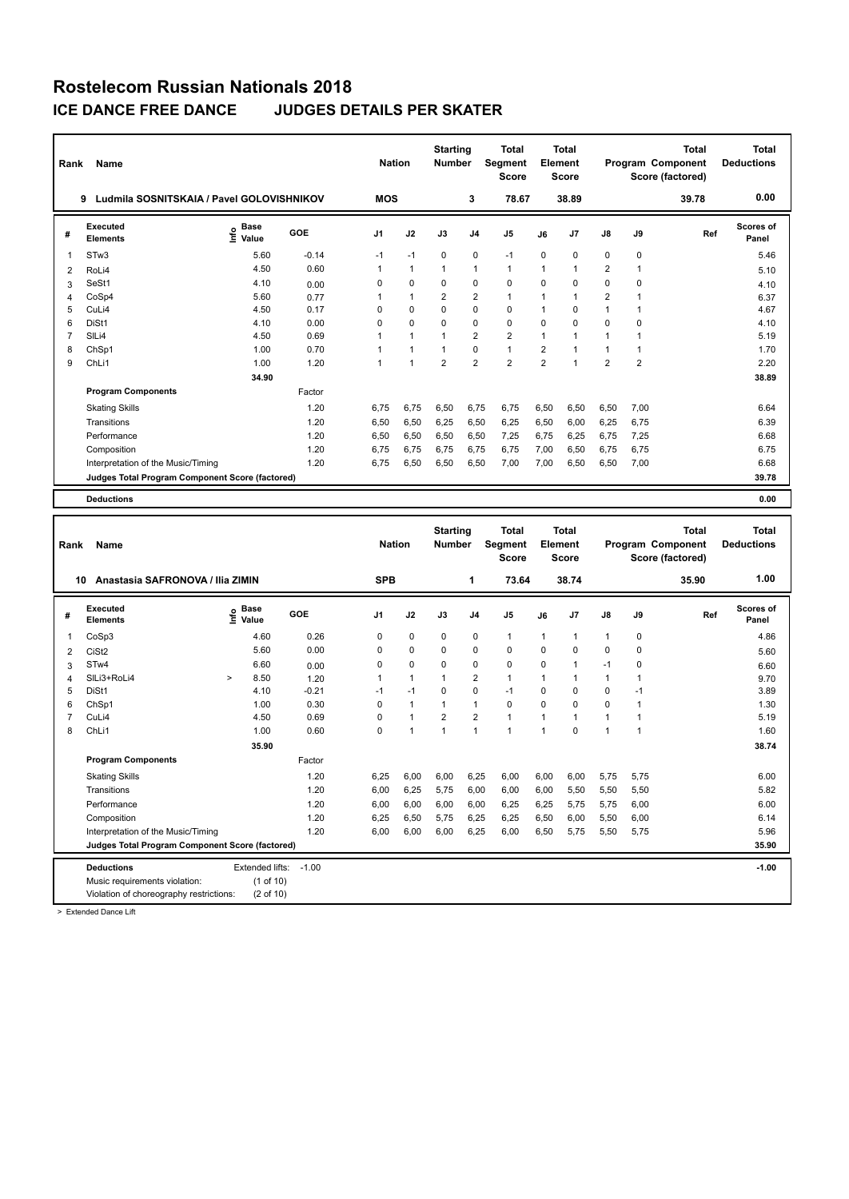| Rank           | Name                                            |                           |         | <b>Nation</b>  |                | <b>Starting</b><br><b>Number</b> |                | <b>Total</b><br>Segment<br><b>Score</b> |                | <b>Total</b><br>Element<br><b>Score</b> |                |                | <b>Total</b><br><b>Program Component</b><br>Score (factored) | <b>Total</b><br><b>Deductions</b> |
|----------------|-------------------------------------------------|---------------------------|---------|----------------|----------------|----------------------------------|----------------|-----------------------------------------|----------------|-----------------------------------------|----------------|----------------|--------------------------------------------------------------|-----------------------------------|
|                | Ludmila SOSNITSKAIA / Pavel GOLOVISHNIKOV<br>9  |                           |         | <b>MOS</b>     |                |                                  | 3              | 78.67                                   |                | 38.89                                   |                |                | 39.78                                                        | 0.00                              |
| #              | <b>Executed</b><br><b>Elements</b>              | <b>Base</b><br>۴<br>Value | GOE     | J <sub>1</sub> | J2             | J3                               | J <sub>4</sub> | J <sub>5</sub>                          | J6             | J7                                      | $\mathsf{J}8$  | J9             | Ref                                                          | <b>Scores of</b><br>Panel         |
| 1              | ST <sub>w</sub> 3                               | 5.60                      | $-0.14$ | $-1$           | $-1$           | $\mathbf 0$                      | $\mathbf 0$    | $-1$                                    | $\mathbf 0$    | 0                                       | $\mathbf 0$    | $\mathbf 0$    |                                                              | 5.46                              |
| 2              | RoLi4                                           | 4.50                      | 0.60    | 1              | $\mathbf{1}$   | 1                                | 1              | $\mathbf{1}$                            | $\mathbf{1}$   | 1                                       | $\overline{2}$ | $\mathbf{1}$   |                                                              | 5.10                              |
| 3              | SeSt1                                           | 4.10                      | 0.00    | $\Omega$       | $\Omega$       | $\Omega$                         | $\Omega$       | $\Omega$                                | $\Omega$       | $\Omega$                                | $\Omega$       | $\Omega$       |                                                              | 4.10                              |
| 4              | CoSp4                                           | 5.60                      | 0.77    | 1              | $\mathbf{1}$   | $\overline{2}$                   | $\overline{2}$ | $\overline{1}$                          | $\mathbf{1}$   | 1                                       | $\overline{2}$ | $\mathbf{1}$   |                                                              | 6.37                              |
| 5              | CuLi4                                           | 4.50                      | 0.17    | $\Omega$       | $\Omega$       | 0                                | $\Omega$       | $\Omega$                                | $\overline{1}$ | $\Omega$                                | $\mathbf{1}$   | $\mathbf{1}$   |                                                              | 4.67                              |
| 6              | DiSt1                                           | 4.10                      | 0.00    | $\Omega$       | 0              | $\Omega$                         | $\Omega$       | $\mathbf 0$                             | $\mathbf 0$    | $\Omega$                                | $\mathbf 0$    | 0              |                                                              | 4.10                              |
| $\overline{7}$ | SILi4                                           | 4.50                      | 0.69    | 1              | $\mathbf{1}$   | 1                                | $\overline{2}$ | $\overline{2}$                          | $\mathbf{1}$   | 1                                       | $\mathbf{1}$   | $\mathbf{1}$   |                                                              | 5.19                              |
| 8              | ChSp1                                           | 1.00                      | 0.70    | 1              | $\mathbf{1}$   | 1                                | $\Omega$       | $\mathbf{1}$                            | $\overline{2}$ | $\overline{1}$                          | $\overline{1}$ | $\mathbf{1}$   |                                                              | 1.70                              |
| 9              | ChLi1                                           | 1.00                      | 1.20    | 1              | $\overline{1}$ | $\overline{2}$                   | $\overline{2}$ | $\overline{2}$                          | $\overline{2}$ | $\overline{1}$                          | $\overline{2}$ | $\overline{2}$ |                                                              | 2.20                              |
|                |                                                 | 34.90                     |         |                |                |                                  |                |                                         |                |                                         |                |                |                                                              | 38.89                             |
|                | <b>Program Components</b>                       |                           | Factor  |                |                |                                  |                |                                         |                |                                         |                |                |                                                              |                                   |
|                | <b>Skating Skills</b>                           |                           | 1.20    | 6.75           | 6,75           | 6,50                             | 6.75           | 6,75                                    | 6,50           | 6,50                                    | 6,50           | 7,00           |                                                              | 6.64                              |
|                | Transitions                                     |                           | 1.20    | 6,50           | 6,50           | 6,25                             | 6,50           | 6,25                                    | 6,50           | 6,00                                    | 6,25           | 6,75           |                                                              | 6.39                              |
|                | Performance                                     |                           | 1.20    | 6.50           | 6,50           | 6,50                             | 6.50           | 7,25                                    | 6,75           | 6,25                                    | 6,75           | 7,25           |                                                              | 6.68                              |
|                | Composition                                     |                           | 1.20    | 6.75           | 6.75           | 6.75                             | 6.75           | 6.75                                    | 7,00           | 6.50                                    | 6.75           | 6.75           |                                                              | 6.75                              |
|                | Interpretation of the Music/Timing              |                           | 1.20    | 6.75           | 6,50           | 6.50                             | 6.50           | 7,00                                    | 7,00           | 6.50                                    | 6,50           | 7,00           |                                                              | 6.68                              |
|                | Judges Total Program Component Score (factored) |                           |         |                |                |                                  |                |                                         |                |                                         |                |                |                                                              | 39.78                             |
|                | <b>Deductions</b>                               |                           |         |                |                |                                  |                |                                         |                |                                         |                |                |                                                              | 0.00                              |
|                |                                                 |                           |         |                |                |                                  |                |                                         |                |                                         |                |                |                                                              |                                   |
|                |                                                 |                           |         |                |                | Starting                         |                | Total                                   |                | Total                                   |                |                | Total                                                        | Total                             |

| Rank | Name                                            |         |                                  |         |                | <b>Nation</b>        | <b>Starting</b><br><b>Number</b> |                | Total<br>Segment<br><b>Score</b> |                | Total<br>Element<br><b>Score</b> |                |      | <b>Total</b><br><b>Program Component</b><br>Score (factored) | <b>Total</b><br><b>Deductions</b> |
|------|-------------------------------------------------|---------|----------------------------------|---------|----------------|----------------------|----------------------------------|----------------|----------------------------------|----------------|----------------------------------|----------------|------|--------------------------------------------------------------|-----------------------------------|
|      | Anastasia SAFRONOVA / Ilia ZIMIN<br>10          |         |                                  |         | <b>SPB</b>     |                      |                                  | 1              | 73.64                            |                | 38.74                            |                |      | 35.90                                                        | 1.00                              |
| #    | <b>Executed</b><br><b>Elements</b>              | $\circ$ | <b>Base</b><br>$\bar{\Xi}$ Value | GOE     | J <sub>1</sub> | J2                   | J3                               | J <sub>4</sub> | J5                               | J6             | J <sub>7</sub>                   | $\mathsf{J}8$  | J9   | Ref                                                          | <b>Scores of</b><br>Panel         |
| -1   | CoSp3                                           |         | 4.60                             | 0.26    | 0              | $\pmb{0}$            | 0                                | 0              | $\mathbf{1}$                     | $\overline{1}$ | $\mathbf{1}$                     | $\overline{1}$ | 0    |                                                              | 4.86                              |
| 2    | CiSt <sub>2</sub>                               |         | 5.60                             | 0.00    | 0              | $\mathbf 0$          | 0                                | 0              | $\mathbf 0$                      | 0              | 0                                | $\mathbf 0$    | 0    |                                                              | 5.60                              |
| 3    | STw4                                            |         | 6.60                             | 0.00    | 0              | 0                    | 0                                | 0              | 0                                | 0              | 1                                | $-1$           | 0    |                                                              | 6.60                              |
| 4    | SILi3+RoLi4                                     | $\geq$  | 8.50                             | 1.20    | 1              | $\overline{1}$       | $\mathbf 1$                      | $\overline{2}$ | $\mathbf{1}$                     | 1              | 1                                | $\overline{1}$ |      |                                                              | 9.70                              |
| 5    | DiSt1                                           |         | 4.10                             | $-0.21$ | $-1$           | $-1$                 | $\mathbf 0$                      | $\mathbf 0$    | $-1$                             | 0              | 0                                | $\mathbf 0$    | -1   |                                                              | 3.89                              |
| 6    | ChSp1                                           |         | 1.00                             | 0.30    | $\Omega$       | $\overline{1}$       | $\mathbf{1}$                     | 1              | 0                                | $\Omega$       | $\Omega$                         | 0              |      |                                                              | 1.30                              |
| 7    | CuLi4                                           |         | 4.50                             | 0.69    | 0              | $\blacktriangleleft$ | $\overline{2}$                   | $\overline{2}$ | $\mathbf{1}$                     | $\overline{1}$ | 1                                | $\overline{1}$ |      |                                                              | 5.19                              |
| 8    | ChLi1                                           |         | 1.00                             | 0.60    | $\mathbf 0$    | $\blacktriangleleft$ | $\mathbf{1}$                     | 1              | $\overline{1}$                   | $\overline{1}$ | $\Omega$                         | $\overline{1}$ | 1    |                                                              | 1.60                              |
|      |                                                 |         | 35.90                            |         |                |                      |                                  |                |                                  |                |                                  |                |      |                                                              | 38.74                             |
|      | <b>Program Components</b>                       |         |                                  | Factor  |                |                      |                                  |                |                                  |                |                                  |                |      |                                                              |                                   |
|      | <b>Skating Skills</b>                           |         |                                  | 1.20    | 6,25           | 6,00                 | 6,00                             | 6,25           | 6,00                             | 6,00           | 6,00                             | 5,75           | 5,75 |                                                              | 6.00                              |
|      | Transitions                                     |         |                                  | 1.20    | 6,00           | 6,25                 | 5,75                             | 6,00           | 6,00                             | 6,00           | 5,50                             | 5,50           | 5,50 |                                                              | 5.82                              |
|      | Performance                                     |         |                                  | 1.20    | 6,00           | 6,00                 | 6,00                             | 6,00           | 6,25                             | 6,25           | 5,75                             | 5,75           | 6,00 |                                                              | 6.00                              |
|      | Composition                                     |         |                                  | 1.20    | 6,25           | 6,50                 | 5,75                             | 6,25           | 6,25                             | 6,50           | 6,00                             | 5,50           | 6,00 |                                                              | 6.14                              |
|      | Interpretation of the Music/Timing              |         |                                  | 1.20    | 6,00           | 6,00                 | 6,00                             | 6,25           | 6,00                             | 6,50           | 5,75                             | 5,50           | 5,75 |                                                              | 5.96                              |
|      | Judges Total Program Component Score (factored) |         |                                  |         |                |                      |                                  |                |                                  |                |                                  |                |      |                                                              | 35.90                             |
|      | <b>Deductions</b>                               |         | Extended lifts:                  | $-1.00$ |                |                      |                                  |                |                                  |                |                                  |                |      |                                                              | $-1.00$                           |
|      | Music requirements violation:                   |         | (1 of 10)                        |         |                |                      |                                  |                |                                  |                |                                  |                |      |                                                              |                                   |
|      | Violation of choreography restrictions:         |         | (2 of 10)                        |         |                |                      |                                  |                |                                  |                |                                  |                |      |                                                              |                                   |

> Extended Dance Lift